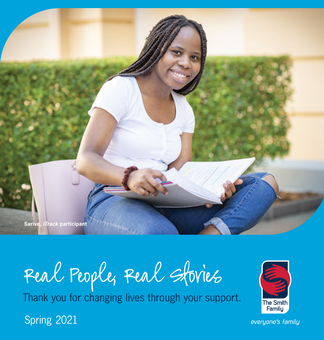**Sarive,** *iTrack* **participant**

# Real People, Real Stories

Thank you for changing lives through your support.

Spring 2021



everyone's family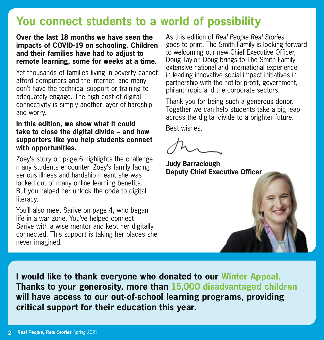## **You connect students to a world of possibility**

**Over the last 18 months we have seen the impacts of COVID-19 on schooling. Children and their families have had to adjust to remote learning, some for weeks at a time.**

Yet thousands of families living in poverty cannot afford computers and the internet, and many don't have the technical support or training to adequately engage. The high cost of digital connectivity is simply another layer of hardship and worry.

#### **In this edition, we show what it could take to close the digital divide – and how supporters like you help students connect with opportunities.**

Zoey's story on page 6 highlights the challenge many students encounter. Zoey's family facing serious illness and hardship meant she was locked out of many online learning benefits. But you helped her unlock the code to digital literacy.

You'll also meet Sarive on page 4, who began life in a war zone. You've helped connect Sarive with a wise mentor and kept her digitally connected. This support is taking her places she never imagined.

As this edition of *Real People Real Stories* goes to print, The Smith Family is looking forward to welcoming our new Chief Executive Officer, Doug Taylor. Doug brings to The Smith Family extensive national and international experience in leading innovative social impact initiatives in partnership with the not-for-profit, government, philanthropic and the corporate sectors.

Thank you for being such a generous donor. Together we can help students take a big leap across the digital divide to a brighter future.

Best wishes,

**Judy Barraclough Deputy Chief Executive Officer**



**I would like to thank everyone who donated to our Winter Appeal. Thanks to your generosity, more than 15,000 disadvantaged children will have access to our out-of-school learning programs, providing critical support for their education this year.**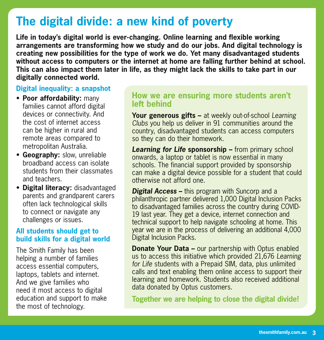## **The digital divide: a new kind of poverty**

**Life in today's digital world is ever-changing. Online learning and flexible working arrangements are transforming how we study and do our jobs. And digital technology is creating new possibilities for the type of work we do. Yet many disadvantaged students without access to computers or the internet at home are falling further behind at school. This can also impact them later in life, as they might lack the skills to take part in our digitally connected world.**

#### **Digital inequality: a snapshot**

- • **Poor affordability:** many families cannot afford digital devices or connectivity. And the cost of internet access can be higher in rural and remote areas compared to metropolitan Australia.
- **Geography:** slow, unreliable broadband access can isolate students from their classmates and teachers.
- **Digital literacy:** disadvantaged parents and grandparent carers often lack technological skills to connect or navigate any challenges or issues.

#### **All students should get to build skills for a digital world**

The Smith Family has been helping a number of families access essential computers, laptops, tablets and internet. And we give families who need it most access to digital education and support to make the most of technology.

#### **How we are ensuring more students aren't left behind**

**Your generous gifts –** at weekly out-of-school *Learning Clubs* you help us deliver in 91 communities around the country, disadvantaged students can access computers so they can do their homework.

*Learning for Life* **sponsorship –** from primary school onwards, a laptop or tablet is now essential in many schools. The financial support provided by sponsorship can make a digital device possible for a student that could otherwise not afford one.

*Digital Access* – this program with Suncorp and a philanthropic partner delivered 1,000 Digital Inclusion Packs to disadvantaged families across the country during COVID-19 last year. They get a device, internet connection and technical support to help navigate schooling at home. This year we are in the process of delivering an additional 4,000 Digital Inclusion Packs.

calls and text enabling them online access to support their data donated by Optus customers.  $\lambda$ , the substance of  $\lambda$  find out about about a range of volunteers of volume of  $\lambda$ **Donate Your Data –** our partnership with Optus enabled us to access this initiative which provided 21,676 *Learning for Life* students with a Prepaid SIM, data, plus unlimited learning and homework. Students also received additional

Together we are helping to close the digital divide! support, visit: **thesmithfamily.com.au/volunteer**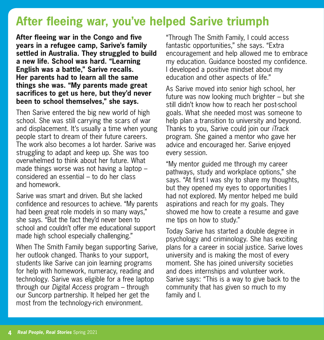## **After fleeing war, you've helped Sarive triumph**

**After fleeing war in the Congo and five years in a refugee camp, Sarive's family settled in Australia. They struggled to build a new life. School was hard. "Learning English was a battle," Sarive recalls. Her parents had to learn all the same things she was. "My parents made great sacrifices to get us here, but they'd never been to school themselves," she says.**

Then Sarive entered the big new world of high school. She was still carrying the scars of war and displacement. It's usually a time when young people start to dream of their future careers. The work also becomes a lot harder. Sarive was struggling to adapt and keep up. She was too overwhelmed to think about her future. What made things worse was not having a laptop – considered an essential – to do her class and homework.

Sarive was smart and driven. But she lacked confidence and resources to achieve. "My parents had been great role models in so many ways," she says. "But the fact they'd never been to school and couldn't offer me educational support made high school especially challenging."

When The Smith Family began supporting Sarive, her outlook changed. Thanks to your support, students like Sarive can join learning programs for help with homework, numeracy, reading and technology. Sarive was eligible for a free laptop through our *Digital Access* program – through our Suncorp partnership. It helped her get the most from the technology-rich environment.

"Through The Smith Family, I could access fantastic opportunities," she says. "Extra encouragement and help allowed me to embrace my education. Guidance boosted my confidence. I developed a positive mindset about my education and other aspects of life."

As Sarive moved into senior high school, her future was now looking much brighter – but she still didn't know how to reach her post-school goals. What she needed most was someone to help plan a transition to university and beyond. Thanks to you, Sarive could join our *iTrack* program. She gained a mentor who gave her advice and encouraged her. Sarive enjoyed every session.

"My mentor guided me through my career pathways, study and workplace options," she says. "At first I was shy to share my thoughts, but they opened my eyes to opportunities I had not explored. My mentor helped me build aspirations and reach for my goals. They showed me how to create a resume and gave me tips on how to study."

Today Sarive has started a double degree in psychology and criminology. She has exciting plans for a career in social justice. Sarive loves university and is making the most of every moment. She has joined university societies and does internships and volunteer work. Sarive says: "This is a way to give back to the community that has given so much to my family and I.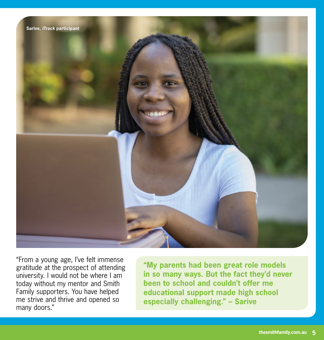

"From a young age, I've felt immense gratitude at the prospect of attending university. I would not be where I am today without my mentor and Smith Family supporters. You have helped me strive and thrive and opened so many doors."

**"My parents had been great role models in so many ways. But the fact they'd never been to school and couldn't offer me educational support made high school especially challenging." – Sarive**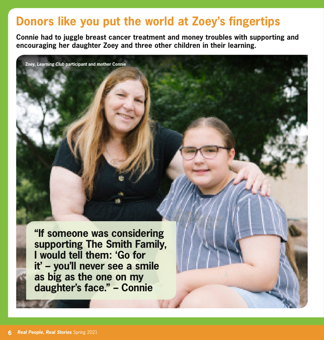## **Donors like you put the world at Zoey's fingertips**

**Connie had to juggle breast cancer treatment and money troubles with supporting and encouraging her daughter Zoey and three other children in their learning.**

**Zoey,** *Learning Club* **participant and mother Connie**

**"If someone was considering supporting The Smith Family, I would tell them: 'Go for it' – you'll never see a smile as big as the one on my daughter's face." – Connie**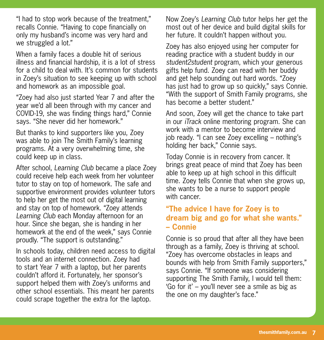"I had to stop work because of the treatment," recalls Connie. "Having to cope financially on only my husband's income was very hard and we struggled a lot."

When a family faces a double hit of serious illness and financial hardship, it is a lot of stress for a child to deal with. It's common for students in Zoey's situation to see keeping up with school and homework as an impossible goal.

"Zoey had also just started Year 7 and after the year we'd all been through with my cancer and COVID-19, she was finding things hard," Connie says. "She never did her homework."

But thanks to kind supporters like you, Zoey was able to join The Smith Family's learning programs. At a very overwhelming time, she could keep up in class.

After school, *Learning Club* became a place Zoey could receive help each week from her volunteer tutor to stay on top of homework. The safe and supportive environment provides volunteer tutors to help her get the most out of digital learning and stay on top of homework. "Zoey attends *Learning Club* each Monday afternoon for an hour. Since she began, she is handing in her homework at the end of the week," says Connie proudly. "The support is outstanding."

In schools today, children need access to digital tools and an internet connection. Zoey had to start Year 7 with a laptop, but her parents couldn't afford it. Fortunately, her sponsor's support helped them with Zoey's uniforms and other school essentials. This meant her parents could scrape together the extra for the laptop.

Now Zoey's *Learning Club* tutor helps her get the most out of her device and build digital skills for her future. It couldn't happen without you.

Zoey has also enjoyed using her computer for reading practice with a student buddy in our *student2student* program, which your generous gifts help fund. Zoey can read with her buddy and get help sounding out hard words. "Zoey has just had to grow up so quickly," says Connie. "With the support of Smith Family programs, she has become a better student."

And soon, Zoey will get the chance to take part in our *iTrack* online mentoring program. She can work with a mentor to become interview and job ready. "I can see Zoey excelling – nothing's holding her back," Connie says.

Today Connie is in recovery from cancer. It brings great peace of mind that Zoey has been able to keep up at high school in this difficult time. Zoey tells Connie that when she grows up, she wants to be a nurse to support people with cancer.

#### **"The advice I have for Zoey is to dream big and go for what she wants." – Connie**

Connie is so proud that after all they have been through as a family, Zoey is thriving at school. "Zoey has overcome obstacles in leaps and bounds with help from Smith Family supporters," says Connie. "If someone was considering supporting The Smith Family, I would tell them: 'Go for it' – you'll never see a smile as big as the one on my daughter's face."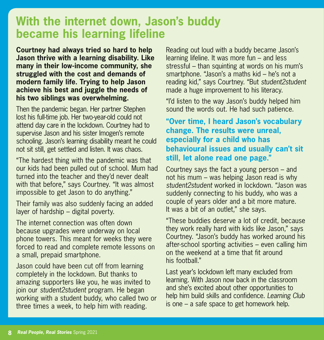## **With the internet down, Jason's buddy became his learning lifeline**

**Courtney had always tried so hard to help Jason thrive with a learning disability. Like many in their low-income community, she struggled with the cost and demands of modern family life. Trying to help Jason achieve his best and juggle the needs of his two siblings was overwhelming.**

Then the pandemic began. Her partner Stephen lost his full-time job. Her two-year-old could not attend day care in the lockdown. Courtney had to supervise Jason and his sister Imogen's remote schooling. Jason's learning disability meant he could not sit still, get settled and listen. It was chaos.

"The hardest thing with the pandemic was that our kids had been pulled out of school. Mum had turned into the teacher and they'd never dealt with that before," says Courtney. "It was almost impossible to get Jason to do anything."

Their family was also suddenly facing an added layer of hardship – digital poverty.

The internet connection was often down because upgrades were underway on local phone towers. This meant for weeks they were forced to read and complete remote lessons on a small, prepaid smartphone.

Jason could have been cut off from learning completely in the lockdown. But thanks to amazing supporters like you, he was invited to join our *student2student* program. He began working with a student buddy, who called two or three times a week, to help him with reading.

Reading out loud with a buddy became Jason's learning lifeline. It was more fun – and less stressful – than squinting at words on his mum's smartphone. "Jason's a maths kid – he's not a reading kid," says Courtney. "But *student2student* made a huge improvement to his literacy.

"I'd listen to the way Jason's buddy helped him sound the words out. He had such patience.

#### **"Over time, I heard Jason's vocabulary change. The results were unreal, especially for a child who has behavioural issues and usually can't sit still, let alone read one page."**

Courtney says the fact a young person – and not his mum – was helping Jason read is why *student2student* worked in lockdown. "Jason was suddenly connecting to his buddy, who was a couple of years older and a bit more mature. It was a bit of an outlet," she says.

"These buddies deserve a lot of credit, because they work really hard with kids like Jason," says Courtney. "Jason's buddy has worked around his after-school sporting activities – even calling him on the weekend at a time that fit around his football."

Last year's lockdown left many excluded from learning. With Jason now back in the classroom and she's excited about other opportunities to help him build skills and confidence. *Learning Club* is one – a safe space to get homework help.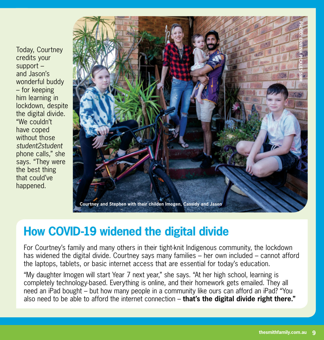Today, Courtney credits your support – and Jason's wonderful buddy – for keeping him learning in lockdown, despite the digital divide. "We couldn't have coped without those *student2student* phone calls," she says. "They were the best thing that could've happened.



## **How COVID-19 widened the digital divide**

For Courtney's family and many others in their tight-knit Indigenous community, the lockdown has widened the digital divide. Courtney says many families – her own included – cannot afford the laptops, tablets, or basic internet access that are essential for today's education.

"My daughter Imogen will start Year 7 next year," she says. "At her high school, learning is completely technology-based. Everything is online, and their homework gets emailed. They all need an iPad bought – but how many people in a community like ours can afford an iPad? "You also need to be able to afford the internet connection – **that's the digital divide right there."**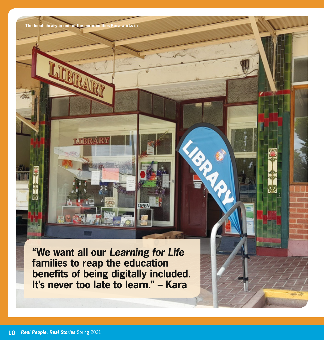**The local library in one** 

**T.TRI** 

**"We want all our** *Learning for Life* **families to reap the education benefits of being digitally included. It's never too late to learn." – Kara**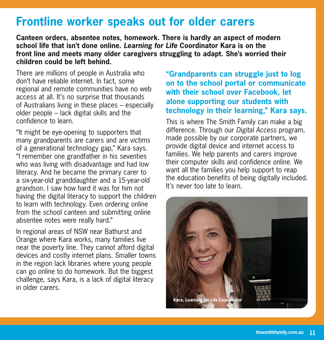## **Frontline worker speaks out for older carers**

**Canteen orders, absentee notes, homework. There is hardly an aspect of modern school life that isn't done online.** *Learning for Life* **Coordinator Kara is on the front line and meets many older caregivers struggling to adapt. She's worried their children could be left behind.**

There are millions of people in Australia who don't have reliable internet. In fact, some regional and remote communities have no web access at all. It's no surprise that thousands of Australians living in these places – especially older people – lack digital skills and the confidence to learn.

"It might be eye-opening to supporters that many grandparents are carers and are victims of a generational technology gap," Kara says. "I remember one grandfather in his seventies who was living with disadvantage and had low literacy. And he became the primary carer to a six-year-old granddaughter and a 15-year-old grandson. I saw how hard it was for him not having the digital literacy to support the children to learn with technology. Even ordering online from the school canteen and submitting online absentee notes were really hard."

In regional areas of NSW near Bathurst and Orange where Kara works, many families live near the poverty line. They cannot afford digital devices and costly internet plans. Smaller towns in the region lack libraries where young people can go online to do homework. But the biggest challenge, says Kara, is a lack of digital literacy in older carers.

#### **"Grandparents can struggle just to log on to the school portal or communicate with their school over Facebook, let alone supporting our students with technology in their learning," Kara says.**

This is where The Smith Family can make a big difference. Through our *Digital Access* program, made possible by our corporate partners, we provide digital device and internet access to families. We help parents and carers improve their computer skills and confidence online. We want all the families you help support to reap the education benefits of being digitally included. It's never too late to learn.